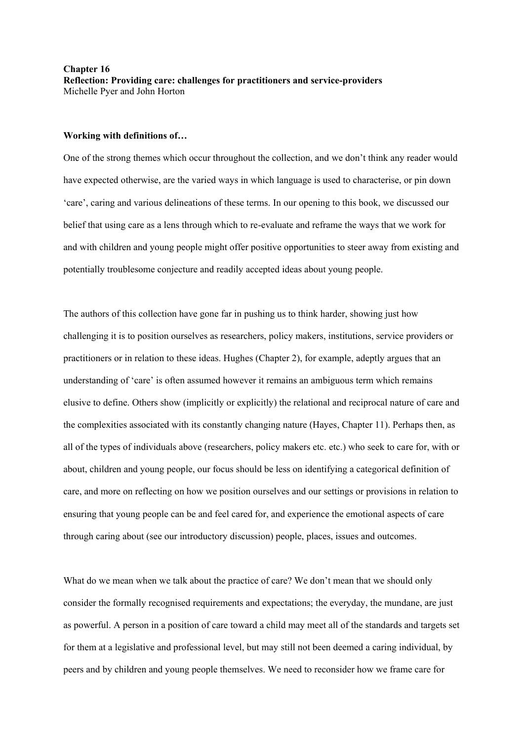### **Working with definitions of…**

One of the strong themes which occur throughout the collection, and we don't think any reader would have expected otherwise, are the varied ways in which language is used to characterise, or pin down 'care', caring and various delineations of these terms. In our opening to this book, we discussed our belief that using care as a lens through which to re-evaluate and reframe the ways that we work for and with children and young people might offer positive opportunities to steer away from existing and potentially troublesome conjecture and readily accepted ideas about young people.

The authors of this collection have gone far in pushing us to think harder, showing just how challenging it is to position ourselves as researchers, policy makers, institutions, service providers or practitioners or in relation to these ideas. Hughes (Chapter 2), for example, adeptly argues that an understanding of 'care' is often assumed however it remains an ambiguous term which remains elusive to define. Others show (implicitly or explicitly) the relational and reciprocal nature of care and the complexities associated with its constantly changing nature (Hayes, Chapter 11). Perhaps then, as all of the types of individuals above (researchers, policy makers etc. etc.) who seek to care for, with or about, children and young people, our focus should be less on identifying a categorical definition of care, and more on reflecting on how we position ourselves and our settings or provisions in relation to ensuring that young people can be and feel cared for, and experience the emotional aspects of care through caring about (see our introductory discussion) people, places, issues and outcomes.

What do we mean when we talk about the practice of care? We don't mean that we should only consider the formally recognised requirements and expectations; the everyday, the mundane, are just as powerful. A person in a position of care toward a child may meet all of the standards and targets set for them at a legislative and professional level, but may still not been deemed a caring individual, by peers and by children and young people themselves. We need to reconsider how we frame care for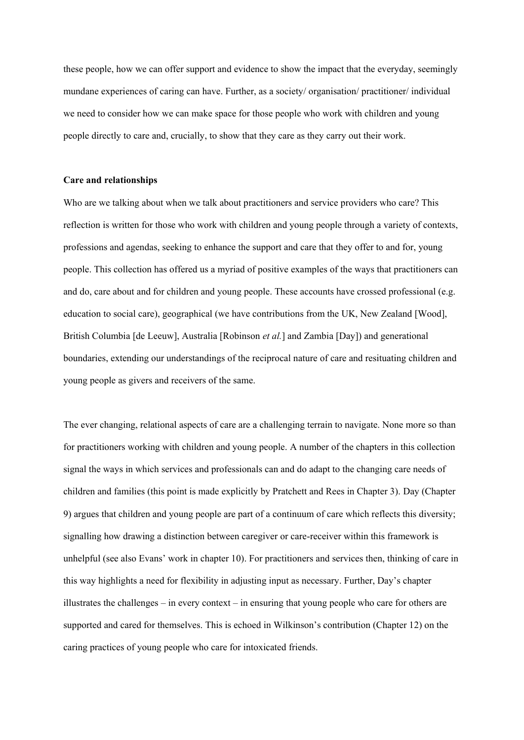these people, how we can offer support and evidence to show the impact that the everyday, seemingly mundane experiences of caring can have. Further, as a society/ organisation/ practitioner/ individual we need to consider how we can make space for those people who work with children and young people directly to care and, crucially, to show that they care as they carry out their work.

### **Care and relationships**

Who are we talking about when we talk about practitioners and service providers who care? This reflection is written for those who work with children and young people through a variety of contexts, professions and agendas, seeking to enhance the support and care that they offer to and for, young people. This collection has offered us a myriad of positive examples of the ways that practitioners can and do, care about and for children and young people. These accounts have crossed professional (e.g. education to social care), geographical (we have contributions from the UK, New Zealand [Wood], British Columbia [de Leeuw], Australia [Robinson *et al.*] and Zambia [Day]) and generational boundaries, extending our understandings of the reciprocal nature of care and resituating children and young people as givers and receivers of the same.

The ever changing, relational aspects of care are a challenging terrain to navigate. None more so than for practitioners working with children and young people. A number of the chapters in this collection signal the ways in which services and professionals can and do adapt to the changing care needs of children and families (this point is made explicitly by Pratchett and Rees in Chapter 3). Day (Chapter 9) argues that children and young people are part of a continuum of care which reflects this diversity; signalling how drawing a distinction between caregiver or care-receiver within this framework is unhelpful (see also Evans' work in chapter 10). For practitioners and services then, thinking of care in this way highlights a need for flexibility in adjusting input as necessary. Further, Day's chapter illustrates the challenges – in every context – in ensuring that young people who care for others are supported and cared for themselves. This is echoed in Wilkinson's contribution (Chapter 12) on the caring practices of young people who care for intoxicated friends.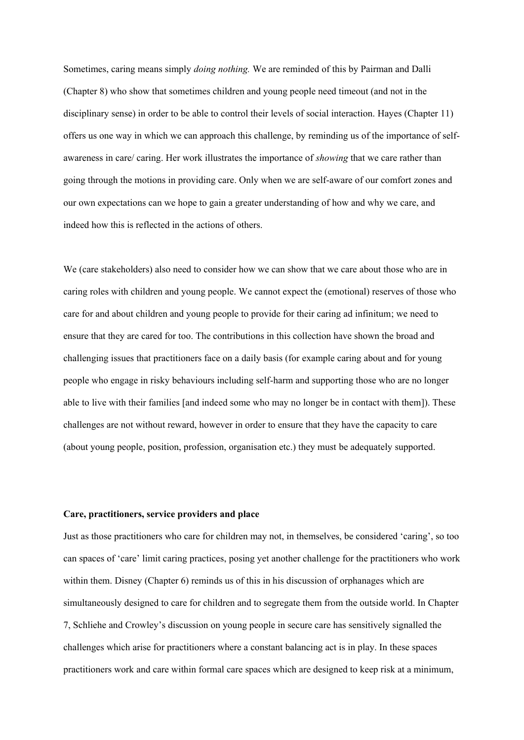Sometimes, caring means simply *doing nothing.* We are reminded of this by Pairman and Dalli (Chapter 8) who show that sometimes children and young people need timeout (and not in the disciplinary sense) in order to be able to control their levels of social interaction. Hayes (Chapter 11) offers us one way in which we can approach this challenge, by reminding us of the importance of selfawareness in care/ caring. Her work illustrates the importance of *showing* that we care rather than going through the motions in providing care. Only when we are self-aware of our comfort zones and our own expectations can we hope to gain a greater understanding of how and why we care, and indeed how this is reflected in the actions of others.

We (care stakeholders) also need to consider how we can show that we care about those who are in caring roles with children and young people. We cannot expect the (emotional) reserves of those who care for and about children and young people to provide for their caring ad infinitum; we need to ensure that they are cared for too. The contributions in this collection have shown the broad and challenging issues that practitioners face on a daily basis (for example caring about and for young people who engage in risky behaviours including self-harm and supporting those who are no longer able to live with their families [and indeed some who may no longer be in contact with them]). These challenges are not without reward, however in order to ensure that they have the capacity to care (about young people, position, profession, organisation etc.) they must be adequately supported.

# **Care, practitioners, service providers and place**

Just as those practitioners who care for children may not, in themselves, be considered 'caring', so too can spaces of 'care' limit caring practices, posing yet another challenge for the practitioners who work within them. Disney (Chapter 6) reminds us of this in his discussion of orphanages which are simultaneously designed to care for children and to segregate them from the outside world. In Chapter 7, Schliehe and Crowley's discussion on young people in secure care has sensitively signalled the challenges which arise for practitioners where a constant balancing act is in play. In these spaces practitioners work and care within formal care spaces which are designed to keep risk at a minimum,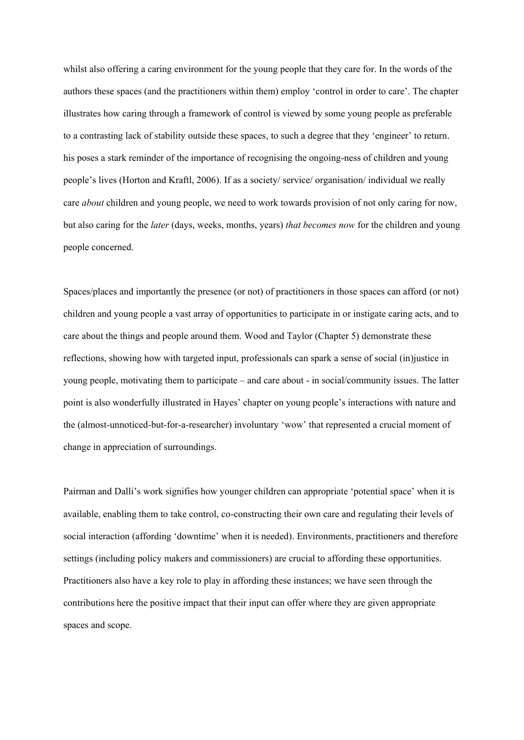whilst also offering a caring environment for the young people that they care for. In the words of the authors these spaces (and the practitioners within them) employ 'control in order to care'. The chapter illustrates how caring through a framework of control is viewed by some young people as preferable to a contrasting lack of stability outside these spaces, to such a degree that they 'engineer' to return. his poses a stark reminder of the importance of recognising the ongoing-ness of children and young people's lives (Horton and Kraftl, 2006). If as a society/ service/ organisation/ individual we really care *about* children and young people, we need to work towards provision of not only caring for now, but also caring for the *later* (days, weeks, months, years) *that becomes now* for the children and young people concerned.

Spaces/places and importantly the presence (or not) of practitioners in those spaces can afford (or not) children and young people a vast array of opportunities to participate in or instigate caring acts, and to care about the things and people around them. Wood and Taylor (Chapter 5) demonstrate these reflections, showing how with targeted input, professionals can spark a sense of social (in)justice in young people, motivating them to participate – and care about - in social/community issues. The latter point is also wonderfully illustrated in Hayes' chapter on young people's interactions with nature and the (almost-unnoticed-but-for-a-researcher) involuntary 'wow' that represented a crucial moment of change in appreciation of surroundings.

Pairman and Dalli's work signifies how younger children can appropriate 'potential space' when it is available, enabling them to take control, co-constructing their own care and regulating their levels of social interaction (affording 'downtime' when it is needed). Environments, practitioners and therefore settings (including policy makers and commissioners) are crucial to affording these opportunities. Practitioners also have a key role to play in affording these instances; we have seen through the contributions here the positive impact that their input can offer where they are given appropriate spaces and scope.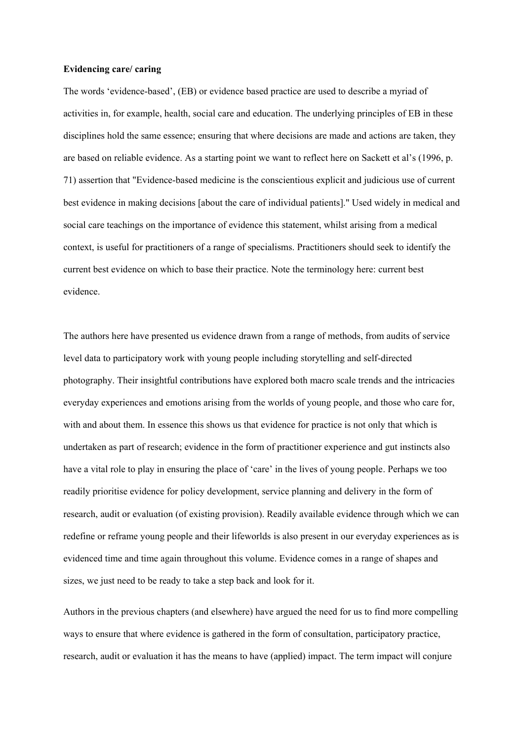## **Evidencing care/ caring**

The words 'evidence-based', (EB) or evidence based practice are used to describe a myriad of activities in, for example, health, social care and education. The underlying principles of EB in these disciplines hold the same essence; ensuring that where decisions are made and actions are taken, they are based on reliable evidence. As a starting point we want to reflect here on Sackett et al's (1996, p. 71) assertion that "Evidence-based medicine is the conscientious explicit and judicious use of current best evidence in making decisions [about the care of individual patients]." Used widely in medical and social care teachings on the importance of evidence this statement, whilst arising from a medical context, is useful for practitioners of a range of specialisms. Practitioners should seek to identify the current best evidence on which to base their practice. Note the terminology here: current best evidence.

The authors here have presented us evidence drawn from a range of methods, from audits of service level data to participatory work with young people including storytelling and self-directed photography. Their insightful contributions have explored both macro scale trends and the intricacies everyday experiences and emotions arising from the worlds of young people, and those who care for, with and about them. In essence this shows us that evidence for practice is not only that which is undertaken as part of research; evidence in the form of practitioner experience and gut instincts also have a vital role to play in ensuring the place of 'care' in the lives of young people. Perhaps we too readily prioritise evidence for policy development, service planning and delivery in the form of research, audit or evaluation (of existing provision). Readily available evidence through which we can redefine or reframe young people and their lifeworlds is also present in our everyday experiences as is evidenced time and time again throughout this volume. Evidence comes in a range of shapes and sizes, we just need to be ready to take a step back and look for it.

Authors in the previous chapters (and elsewhere) have argued the need for us to find more compelling ways to ensure that where evidence is gathered in the form of consultation, participatory practice, research, audit or evaluation it has the means to have (applied) impact. The term impact will conjure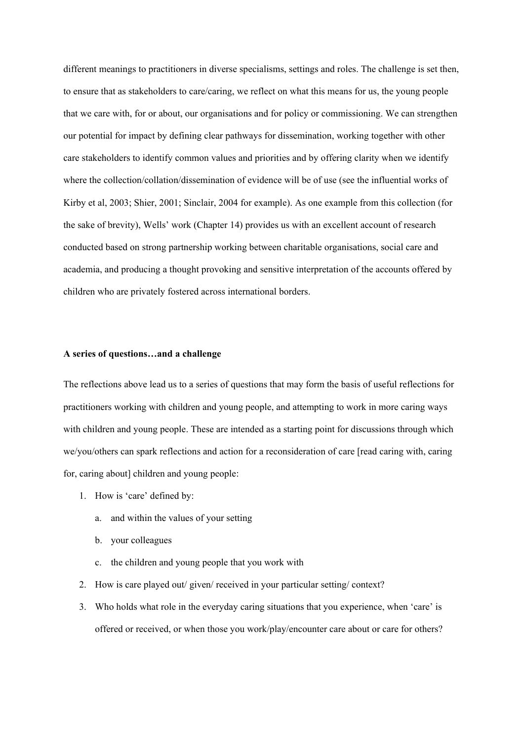different meanings to practitioners in diverse specialisms, settings and roles. The challenge is set then, to ensure that as stakeholders to care/caring, we reflect on what this means for us, the young people that we care with, for or about, our organisations and for policy or commissioning. We can strengthen our potential for impact by defining clear pathways for dissemination, working together with other care stakeholders to identify common values and priorities and by offering clarity when we identify where the collection/collation/dissemination of evidence will be of use (see the influential works of Kirby et al, 2003; Shier, 2001; Sinclair, 2004 for example). As one example from this collection (for the sake of brevity), Wells' work (Chapter 14) provides us with an excellent account of research conducted based on strong partnership working between charitable organisations, social care and academia, and producing a thought provoking and sensitive interpretation of the accounts offered by children who are privately fostered across international borders.

## **A series of questions…and a challenge**

The reflections above lead us to a series of questions that may form the basis of useful reflections for practitioners working with children and young people, and attempting to work in more caring ways with children and young people. These are intended as a starting point for discussions through which we/you/others can spark reflections and action for a reconsideration of care [read caring with, caring for, caring about] children and young people:

- 1. How is 'care' defined by:
	- a. and within the values of your setting
	- b. your colleagues
	- c. the children and young people that you work with
- 2. How is care played out/ given/ received in your particular setting/ context?
- 3. Who holds what role in the everyday caring situations that you experience, when 'care' is offered or received, or when those you work/play/encounter care about or care for others?